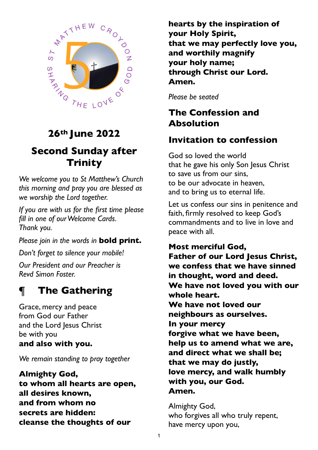

### **26th June 2022**

### **Second Sunday after Trinity**

*We welcome you to St Matthew's Church this morning and pray you are blessed as we worship the Lord together.*

*If you are with us for the first time please fill in one of our Welcome Cards. Thank you.* 

*Please join in the words in* **bold print.** 

*Don't forget to silence your mobile!*

*Our President and our Preacher is Revd Simon Foster.*

## **¶ The Gathering**

Grace, mercy and peace from God our Father and the Lord Jesus Christ be with you **and also with you.**

*We remain standing to pray together*

**Almighty God, to whom all hearts are open, all desires known, and from whom no secrets are hidden: cleanse the thoughts of our** 

**hearts by the inspiration of your Holy Spirit, that we may perfectly love you, and worthily magnify your holy name; through Christ our Lord. Amen.**

*Please be seated*

### **The Confession and Absolution**

### **Invitation to confession**

God so loved the world that he gave his only Son Jesus Christ to save us from our sins, to be our advocate in heaven, and to bring us to eternal life.

Let us confess our sins in penitence and faith, firmly resolved to keep God's commandments and to live in love and peace with all.

#### **Most merciful God,**

**Father of our Lord Jesus Christ, we confess that we have sinned in thought, word and deed. We have not loved you with our whole heart. We have not loved our neighbours as ourselves. In your mercy forgive what we have been, help us to amend what we are, and direct what we shall be; that we may do justly, love mercy, and walk humbly with you, our God. Amen.**

Almighty God, who forgives all who truly repent, have mercy upon you,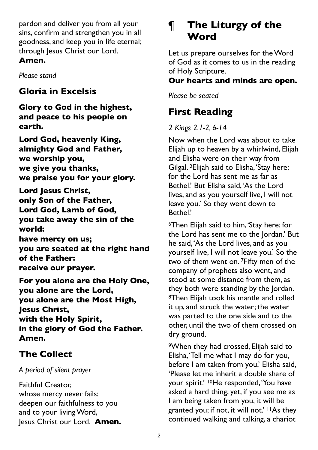pardon and deliver you from all your sins, confirm and strengthen you in all goodness, and keep you in life eternal; through Jesus Christ our Lord.

#### **Amen.**

*Please stand*

### **Gloria in Excelsis**

**Glory to God in the highest, and peace to his people on earth.**

**Lord God, heavenly King, almighty God and Father, we worship you, we give you thanks, we praise you for your glory.**

**Lord Jesus Christ, only Son of the Father, Lord God, Lamb of God, you take away the sin of the world: have mercy on us; you are seated at the right hand of the Father: receive our prayer.**

**For you alone are the Holy One, you alone are the Lord, you alone are the Most High, Jesus Christ, with the Holy Spirit, in the glory of God the Father. Amen.**

### **The Collect**

#### *A period of silent prayer*

Faithful Creator, whose mercy never fails: deepen our faithfulness to you and to your living Word, Jesus Christ our Lord. **Amen.**

## **¶ The Liturgy of the Word**

Let us prepare ourselves for the Word of God as it comes to us in the reading of Holy Scripture.

### **Our hearts and minds are open.**

*Please be seated*

### **First Reading**

#### *2 Kings 2.1-2, 6-14*

Now when the Lord was about to take Elijah up to heaven by a whirlwind, Elijah and Elisha were on their way from Gilgal. 2Elijah said to Elisha, 'Stay here; for the Lord has sent me as far as Bethel.' But Elisha said, 'As the Lord lives, and as you yourself live, I will not leave you.' So they went down to Bethel.'

6Then Elijah said to him, 'Stay here; for the Lord has sent me to the Jordan.' But he said, 'As the Lord lives, and as you yourself live, I will not leave you.' So the two of them went on. 7Fifty men of the company of prophets also went, and stood at some distance from them, as they both were standing by the Jordan. 8Then Elijah took his mantle and rolled it up, and struck the water; the water was parted to the one side and to the other, until the two of them crossed on dry ground.

9When they had crossed, Elijah said to Elisha, 'Tell me what I may do for you, before I am taken from you.' Elisha said, 'Please let me inherit a double share of your spirit.' 10He responded, 'You have asked a hard thing; yet, if you see me as I am being taken from you, it will be granted you; if not, it will not.' 11As they continued walking and talking, a chariot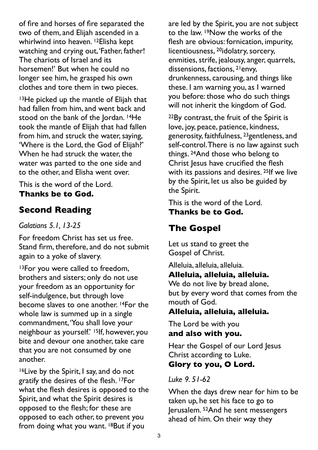of fire and horses of fire separated the two of them, and Elijah ascended in a whirlwind into heaven. 12Elisha kept watching and crying out, 'Father, father! The chariots of Israel and its horsemen!' But when he could no longer see him, he grasped his own clothes and tore them in two pieces.

<sup>13</sup>He picked up the mantle of Elijah that had fallen from him, and went back and stood on the bank of the Jordan. <sup>14</sup>He took the mantle of Elijah that had fallen from him, and struck the water, saying, 'Where is the Lord, the God of Elijah?' When he had struck the water, the water was parted to the one side and to the other, and Elisha went over.

This is the word of the Lord. **Thanks be to God.**

### **Second Reading**

*Galatians 5.1, 13-25*

For freedom Christ has set us free. Stand firm, therefore, and do not submit again to a yoke of slavery.

13For you were called to freedom, brothers and sisters; only do not use your freedom as an opportunity for self-indulgence, but through love become slaves to one another. 14For the whole law is summed up in a single commandment, 'You shall love your neighbour as yourself.' 15If, however, you bite and devour one another, take care that you are not consumed by one another.

16Live by the Spirit, I say, and do not gratify the desires of the flesh. 17For what the flesh desires is opposed to the Spirit, and what the Spirit desires is opposed to the flesh; for these are opposed to each other, to prevent you from doing what you want. <sup>18</sup>But if you

are led by the Spirit, you are not subject to the law. 19Now the works of the flesh are obvious: fornication, impurity, licentiousness, 20idolatry, sorcery, enmities, strife, jealousy, anger, quarrels, dissensions, factions, <sup>21</sup>envy, drunkenness, carousing, and things like these. I am warning you, as I warned you before: those who do such things will not inherit the kingdom of God.

22By contrast, the fruit of the Spirit is love, joy, peace, patience, kindness, generosity, faithfulness, 23gentleness, and self-control. There is no law against such things. 24And those who belong to Christ Jesus have crucified the flesh with its passions and desires. 25If we live by the Spirit, let us also be guided by the Spirit.

This is the word of the Lord.

**Thanks be to God.**

### **The Gospel**

Let us stand to greet the Gospel of Christ.

Alleluia, alleluia, alleluia.

#### **Alleluia, alleluia, alleluia.**

We do not live by bread alone, but by every word that comes from the mouth of God.

### **Alleluia, alleluia, alleluia.**

The Lord be with you **and also with you.**

Hear the Gospel of our Lord Jesus Christ according to Luke.

### **Glory to you, O Lord.**

*Luke 9. 51-62*

When the days drew near for him to be taken up, he set his face to go to Jerusalem. 52And he sent messengers ahead of him. On their way they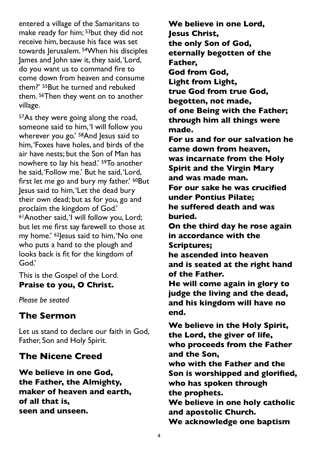entered a village of the Samaritans to make ready for him; 53but they did not receive him, because his face was set towards Jerusalem. <sup>54</sup>When his disciples James and John saw it, they said, 'Lord, do you want us to command fire to come down from heaven and consume them?' 55But he turned and rebuked them. 56Then they went on to another village.

57As they were going along the road, someone said to him, 'I will follow you wherever you go.' <sup>58</sup>And lesus said to him, 'Foxes have holes, and birds of the air have nests; but the Son of Man has nowhere to lay his head.' 59To another he said, 'Follow me.' But he said, 'Lord, first let me go and bury my father.' <sup>60</sup>But Jesus said to him, 'Let the dead bury their own dead; but as for you, go and proclaim the kingdom of God.' 61Another said, 'I will follow you, Lord; but let me first say farewell to those at my home.' <sup>62</sup> lesus said to him, 'No one who puts a hand to the plough and looks back is fit for the kingdom of God.'

This is the Gospel of the Lord. **Praise to you, O Christ.**

*Please be seated*

### **The Sermon**

Let us stand to declare our faith in God, Father, Son and Holy Spirit.

### **The Nicene Creed**

**We believe in one God, the Father, the Almighty, maker of heaven and earth, of all that is, seen and unseen.** 

**We believe in one Lord, Jesus Christ, the only Son of God, eternally begotten of the Father, God from God, Light from Light, true God from true God, begotten, not made, of one Being with the Father; through him all things were made. For us and for our salvation he came down from heaven, was incarnate from the Holy Spirit and the Virgin Mary and was made man. For our sake he was crucified under Pontius Pilate; he suffered death and was buried. On the third day he rose again in accordance with the Scriptures; he ascended into heaven and is seated at the right hand of the Father. He will come again in glory to judge the living and the dead, and his kingdom will have no end. We believe in the Holy Spirit, the Lord, the giver of life, who proceeds from the Father and the Son, who with the Father and the Son is worshipped and glorified, who has spoken through the prophets. We believe in one holy catholic and apostolic Church.**

**We acknowledge one baptism**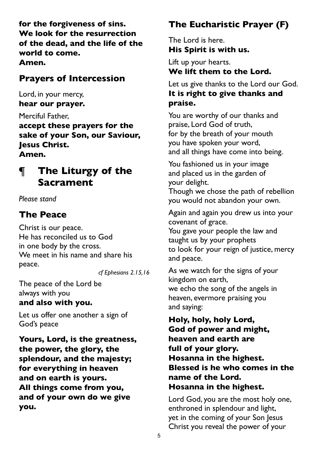**for the forgiveness of sins. We look for the resurrection of the dead, and the life of the world to come. Amen.**

### **Prayers of Intercession**

Lord, in your mercy, **hear our prayer.**

Merciful Father,

**accept these prayers for the sake of your Son, our Saviour, Jesus Christ. Amen.**

### **¶ The Liturgy of the Sacrament**

*Please stand*

### **The Peace**

Christ is our peace. He has reconciled us to God in one body by the cross. We meet in his name and share his peace.

*cf Ephesians 2.15,16*

The peace of the Lord be always with you **and also with you.**

Let us offer one another a sign of God's peace

**Yours, Lord, is the greatness, the power, the glory, the splendour, and the majesty; for everything in heaven and on earth is yours. All things come from you, and of your own do we give you.**

### **The Eucharistic Prayer (F)**

The Lord is here. **His Spirit is with us.**

Lift up your hearts. **We lift them to the Lord.**

Let us give thanks to the Lord our God. **It is right to give thanks and praise.**

You are worthy of our thanks and praise, Lord God of truth, for by the breath of your mouth you have spoken your word, and all things have come into being.

You fashioned us in your image and placed us in the garden of your delight.

Though we chose the path of rebellion you would not abandon your own.

Again and again you drew us into your covenant of grace.

You gave your people the law and taught us by your prophets to look for your reign of justice, mercy and peace.

As we watch for the signs of your kingdom on earth, we echo the song of the angels in heaven, evermore praising you and saying:

**Holy, holy, holy Lord, God of power and might, heaven and earth are full of your glory. Hosanna in the highest. Blessed is he who comes in the name of the Lord. Hosanna in the highest.**

Lord God, you are the most holy one, enthroned in splendour and light, yet in the coming of your Son Jesus Christ you reveal the power of your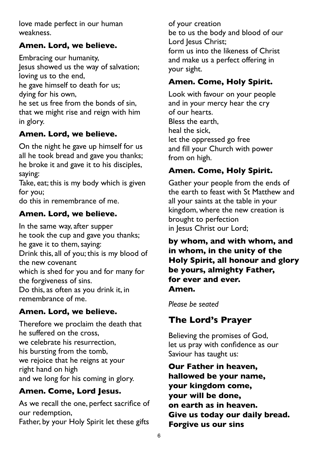love made perfect in our human weakness.

#### **Amen. Lord, we believe.**

Embracing our humanity, Jesus showed us the way of salvation; loving us to the end, he gave himself to death for us; dying for his own, he set us free from the bonds of sin, that we might rise and reign with him in glory.

#### **Amen. Lord, we believe.**

On the night he gave up himself for us all he took bread and gave you thanks; he broke it and gave it to his disciples, saying:

Take, eat; this is my body which is given for you;

do this in remembrance of me.

#### **Amen. Lord, we believe.**

In the same way, after supper he took the cup and gave you thanks; he gave it to them, saying: Drink this, all of you; this is my blood of the new covenant which is shed for you and for many for the forgiveness of sins. Do this, as often as you drink it, in remembrance of me.

#### **Amen. Lord, we believe.**

Therefore we proclaim the death that he suffered on the cross, we celebrate his resurrection, his bursting from the tomb, we rejoice that he reigns at your right hand on high and we long for his coming in glory.

### **Amen. Come, Lord Jesus.**

As we recall the one, perfect sacrifice of our redemption, Father, by your Holy Spirit let these gifts

of your creation be to us the body and blood of our Lord Jesus Christ; form us into the likeness of Christ and make us a perfect offering in your sight.

### **Amen. Come, Holy Spirit.**

Look with favour on your people and in your mercy hear the cry of our hearts. Bless the earth, heal the sick, let the oppressed go free and fill your Church with power from on high.

### **Amen. Come, Holy Spirit.**

Gather your people from the ends of the earth to feast with St Matthew and all your saints at the table in your kingdom, where the new creation is brought to perfection in Jesus Christ our Lord;

**by whom, and with whom, and in whom, in the unity of the Holy Spirit, all honour and glory be yours, almighty Father, for ever and ever. Amen.**

*Please be seated*

### **The Lord's Prayer**

Believing the promises of God, let us pray with confidence as our Saviour has taught us:

**Our Father in heaven, hallowed be your name, your kingdom come, your will be done, on earth as in heaven. Give us today our daily bread. Forgive us our sins**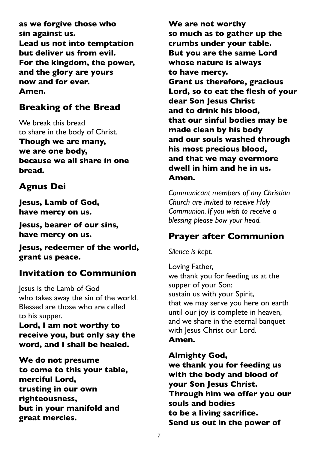**as we forgive those who sin against us. Lead us not into temptation but deliver us from evil. For the kingdom, the power, and the glory are yours now and for ever. Amen.**

#### **Breaking of the Bread**

We break this bread to share in the body of Christ.

**Though we are many, we are one body, because we all share in one bread.**

### **Agnus Dei**

**Jesus, Lamb of God, have mercy on us.**

**Jesus, bearer of our sins, have mercy on us.**

**Jesus, redeemer of the world, grant us peace.**

#### **Invitation to Communion**

Jesus is the Lamb of God who takes away the sin of the world. Blessed are those who are called to his supper.

**Lord, I am not worthy to receive you, but only say the word, and I shall be healed.**

**We do not presume to come to this your table, merciful Lord, trusting in our own righteousness, but in your manifold and great mercies.**

**We are not worthy so much as to gather up the crumbs under your table. But you are the same Lord whose nature is always to have mercy. Grant us therefore, gracious Lord, so to eat the flesh of your dear Son Jesus Christ and to drink his blood, that our sinful bodies may be made clean by his body and our souls washed through his most precious blood, and that we may evermore dwell in him and he in us. Amen.**

*Communicant members of any Christian Church are invited to receive Holy Communion. If you wish to receive a blessing please bow your head.*

### **Prayer after Communion**

*Silence is kept.*

Loving Father, we thank you for feeding us at the supper of your Son: sustain us with your Spirit, that we may serve you here on earth until our joy is complete in heaven, and we share in the eternal banquet with Jesus Christ our Lord. **Amen.**

**Almighty God, we thank you for feeding us with the body and blood of your Son Jesus Christ. Through him we offer you our souls and bodies to be a living sacrifice. Send us out in the power of**